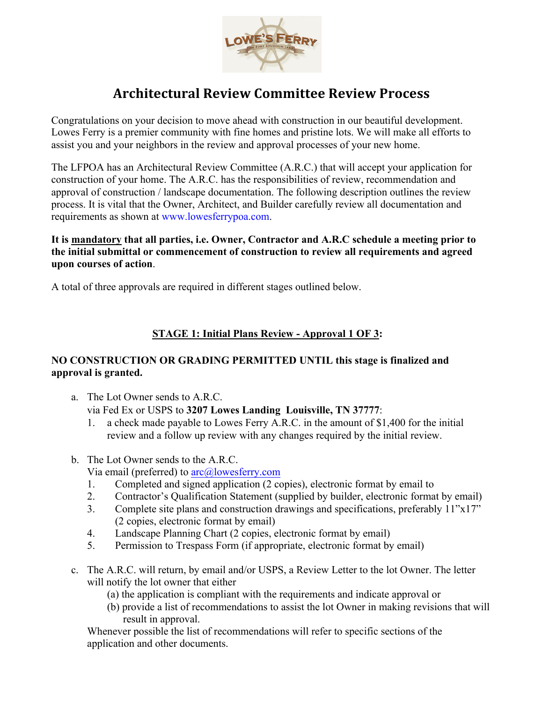

# **Architectural Review Committee Review Process**

Congratulations on your decision to move ahead with construction in our beautiful development. Lowes Ferry is a premier community with fine homes and pristine lots. We will make all efforts to assist you and your neighbors in the review and approval processes of your new home.

The LFPOA has an Architectural Review Committee (A.R.C.) that will accept your application for construction of your home. The A.R.C. has the responsibilities of review, recommendation and approval of construction / landscape documentation. The following description outlines the review process. It is vital that the Owner, Architect, and Builder carefully review all documentation and requirements as shown at www.lowesferrypoa.com.

**It is mandatory that all parties, i.e. Owner, Contractor and A.R.C schedule a meeting prior to the initial submittal or commencement of construction to review all requirements and agreed upon courses of action**.

A total of three approvals are required in different stages outlined below.

## **STAGE 1: Initial Plans Review - Approval 1 OF 3:**

#### **NO CONSTRUCTION OR GRADING PERMITTED UNTIL this stage is finalized and approval is granted.**

- a. The Lot Owner sends to A.R.C. via Fed Ex or USPS to **3207 Lowes Landing Louisville, TN 37777**:
	- 1. a check made payable to Lowes Ferry A.R.C. in the amount of \$1,400 for the initial review and a follow up review with any changes required by the initial review.
- b. The Lot Owner sends to the A.R.C. Via email (preferred) to arc@lowesferry.com
	- 1. Completed and signed application (2 copies), electronic format by email to
	- 2. Contractor's Qualification Statement (supplied by builder, electronic format by email)
	- 3. Complete site plans and construction drawings and specifications, preferably 11"x17" (2 copies, electronic format by email)
	- 4. Landscape Planning Chart (2 copies, electronic format by email)
	- 5. Permission to Trespass Form (if appropriate, electronic format by email)
- c. The A.R.C. will return, by email and/or USPS, a Review Letter to the lot Owner. The letter will notify the lot owner that either
	- (a) the application is compliant with the requirements and indicate approval or
	- (b) provide a list of recommendations to assist the lot Owner in making revisions that will result in approval.

Whenever possible the list of recommendations will refer to specific sections of the application and other documents.